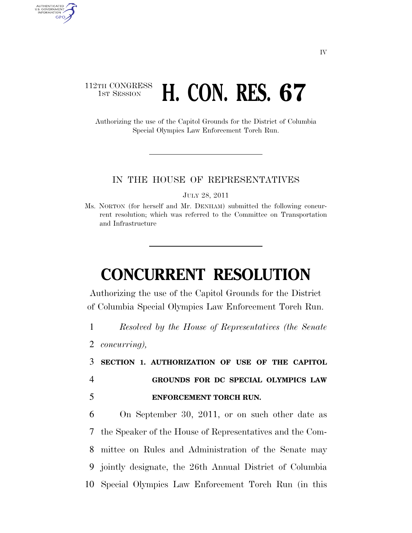### 112TH CONGRESS **1st Session H. CON. RES. 67**

Authorizing the use of the Capitol Grounds for the District of Columbia Special Olympics Law Enforcement Torch Run.

#### IN THE HOUSE OF REPRESENTATIVES

JULY 28, 2011

Ms. NORTON (for herself and Mr. DENHAM) submitted the following concurrent resolution; which was referred to the Committee on Transportation and Infrastructure

# **CONCURRENT RESOLUTION**

Authorizing the use of the Capitol Grounds for the District of Columbia Special Olympics Law Enforcement Torch Run.

1 *Resolved by the House of Representatives (the Senate* 

2 *concurring),* 

AUTHENTICATED<br>U.S. GOVERNMENT<br>INFORMATION GPO

> 3 **SECTION 1. AUTHORIZATION OF USE OF THE CAPITOL**  4 **GROUNDS FOR DC SPECIAL OLYMPICS LAW**  5 **ENFORCEMENT TORCH RUN.**

 On September 30, 2011, or on such other date as the Speaker of the House of Representatives and the Com- mittee on Rules and Administration of the Senate may jointly designate, the 26th Annual District of Columbia Special Olympics Law Enforcement Torch Run (in this